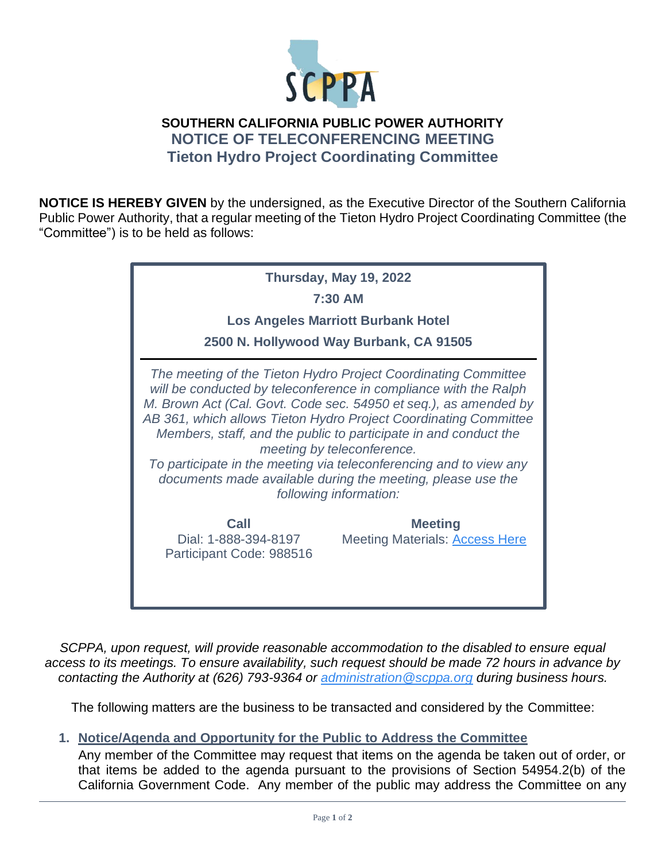

## **SOUTHERN CALIFORNIA PUBLIC POWER AUTHORITY NOTICE OF TELECONFERENCING MEETING Tieton Hydro Project Coordinating Committee**

**NOTICE IS HEREBY GIVEN** by the undersigned, as the Executive Director of the Southern California Public Power Authority, that a regular meeting of the Tieton Hydro Project Coordinating Committee (the "Committee") is to be held as follows:

| Thursday, May 19, 2022<br>7:30 AM<br><b>Los Angeles Marriott Burbank Hotel</b><br>2500 N. Hollywood Way Burbank, CA 91505                                                                                                                                                                                                                                                                                                                                                                                                                   |                                                         |
|---------------------------------------------------------------------------------------------------------------------------------------------------------------------------------------------------------------------------------------------------------------------------------------------------------------------------------------------------------------------------------------------------------------------------------------------------------------------------------------------------------------------------------------------|---------------------------------------------------------|
| The meeting of the Tieton Hydro Project Coordinating Committee<br>will be conducted by teleconference in compliance with the Ralph<br>M. Brown Act (Cal. Govt. Code sec. 54950 et seq.), as amended by<br>AB 361, which allows Tieton Hydro Project Coordinating Committee<br>Members, staff, and the public to participate in and conduct the<br>meeting by teleconference.<br>To participate in the meeting via teleconferencing and to view any<br>documents made available during the meeting, please use the<br>following information: |                                                         |
| <b>Call</b><br>Dial: 1-888-394-8197<br>Participant Code: 988516                                                                                                                                                                                                                                                                                                                                                                                                                                                                             | <b>Meeting</b><br><b>Meeting Materials: Access Here</b> |

*SCPPA, upon request, will provide reasonable accommodation to the disabled to ensure equal access to its meetings. To ensure availability, such request should be made 72 hours in advance by contacting the Authority at (626) 793-9364 or [administration@scppa.org](mailto:administration@scppa.org) during business hours.*

The following matters are the business to be transacted and considered by the Committee:

## **1. Notice/Agenda and Opportunity for the Public to Address the Committee**

Any member of the Committee may request that items on the agenda be taken out of order, or that items be added to the agenda pursuant to the provisions of Section 54954.2(b) of the California Government Code. Any member of the public may address the Committee on any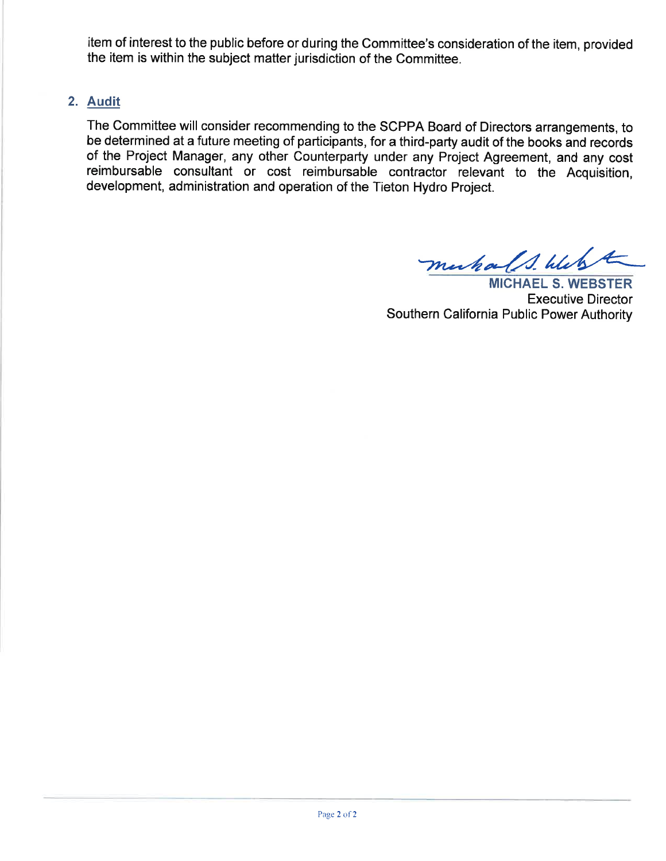item of interest to the public before or during the Committee's consideration of the item, provided the item is within the subject matter jurisdiction of the Committee.

## 2, Audit

The Committee will consider recommending to the SCPPA Board of Directors arrangements, to be determined at a future meeting of participants, for a third-party audit of the books and records of the Project Manager, any other Counterparty under any Project Agreement, and any cost reimbursable consultant or cost reimbursable contractor relevant to the Acquisition, development, administration and operation of the Tieton Hydro Project.

muhals. Webst

MICHAEL S. WEBSTER Executive Director Southern California Public Power Authority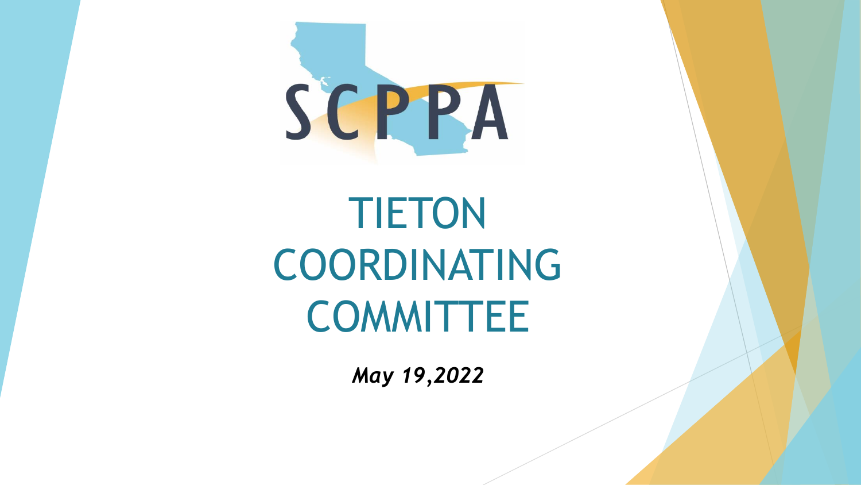

TIETON COORDINATING **COMMITTEE** 

*May 19,2022*